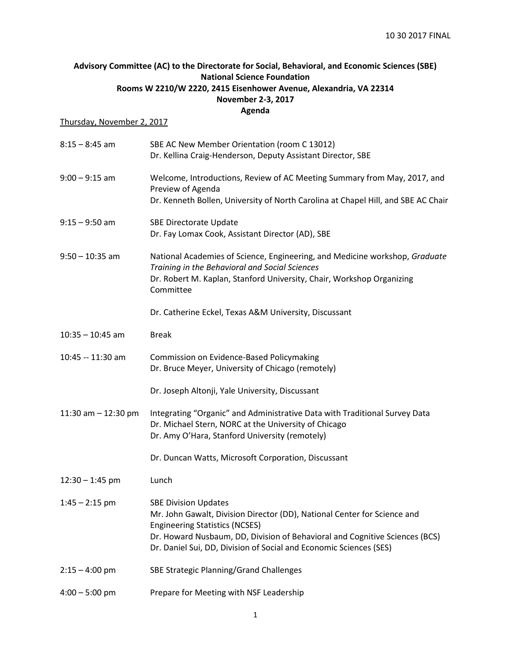## **Advisory Committee (AC) to the Directorate for Social, Behavioral, and Economic Sciences (SBE) National Science Foundation Rooms W 2210/W 2220, 2415 Eisenhower Avenue, Alexandria, VA 22314 November 2-3, 2017 Agenda**

## Thursday, November 2, 2017

| $8:15 - 8:45$ am      | SBE AC New Member Orientation (room C 13012)<br>Dr. Kellina Craig-Henderson, Deputy Assistant Director, SBE                                                                                                                                                                                           |
|-----------------------|-------------------------------------------------------------------------------------------------------------------------------------------------------------------------------------------------------------------------------------------------------------------------------------------------------|
| $9:00 - 9:15$ am      | Welcome, Introductions, Review of AC Meeting Summary from May, 2017, and<br>Preview of Agenda<br>Dr. Kenneth Bollen, University of North Carolina at Chapel Hill, and SBE AC Chair                                                                                                                    |
| $9:15 - 9:50$ am      | <b>SBE Directorate Update</b><br>Dr. Fay Lomax Cook, Assistant Director (AD), SBE                                                                                                                                                                                                                     |
| $9:50 - 10:35$ am     | National Academies of Science, Engineering, and Medicine workshop, Graduate<br>Training in the Behavioral and Social Sciences<br>Dr. Robert M. Kaplan, Stanford University, Chair, Workshop Organizing<br>Committee                                                                                   |
|                       | Dr. Catherine Eckel, Texas A&M University, Discussant                                                                                                                                                                                                                                                 |
| $10:35 - 10:45$ am    | <b>Break</b>                                                                                                                                                                                                                                                                                          |
| 10:45 -- 11:30 am     | Commission on Evidence-Based Policymaking<br>Dr. Bruce Meyer, University of Chicago (remotely)                                                                                                                                                                                                        |
|                       | Dr. Joseph Altonji, Yale University, Discussant                                                                                                                                                                                                                                                       |
| 11:30 am $-$ 12:30 pm | Integrating "Organic" and Administrative Data with Traditional Survey Data<br>Dr. Michael Stern, NORC at the University of Chicago<br>Dr. Amy O'Hara, Stanford University (remotely)                                                                                                                  |
|                       | Dr. Duncan Watts, Microsoft Corporation, Discussant                                                                                                                                                                                                                                                   |
| $12:30 - 1:45$ pm     | Lunch                                                                                                                                                                                                                                                                                                 |
| $1:45 - 2:15$ pm      | <b>SBE Division Updates</b><br>Mr. John Gawalt, Division Director (DD), National Center for Science and<br><b>Engineering Statistics (NCSES)</b><br>Dr. Howard Nusbaum, DD, Division of Behavioral and Cognitive Sciences (BCS)<br>Dr. Daniel Sui, DD, Division of Social and Economic Sciences (SES) |
| $2:15 - 4:00$ pm      | SBE Strategic Planning/Grand Challenges                                                                                                                                                                                                                                                               |
| $4:00 - 5:00$ pm      | Prepare for Meeting with NSF Leadership                                                                                                                                                                                                                                                               |